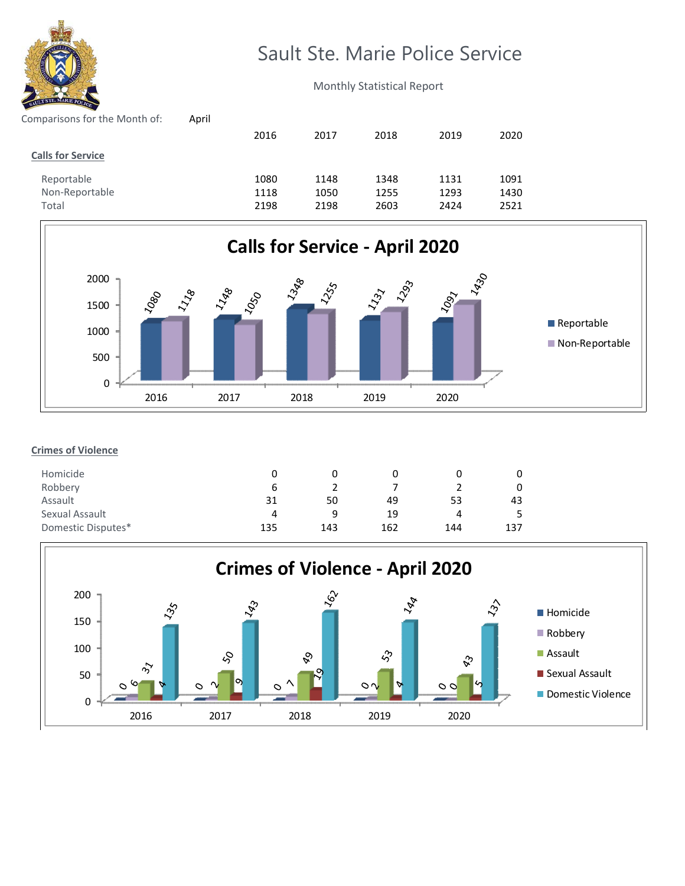

# Sault Ste. Marie Police Service

Monthly Statistical Report

| Comparisons for the Month of: | April |      |      |      |      |      |
|-------------------------------|-------|------|------|------|------|------|
|                               |       | 2016 | 2017 | 2018 | 2019 | 2020 |
| <b>Calls for Service</b>      |       |      |      |      |      |      |
| Reportable                    |       | 1080 | 1148 | 1348 | 1131 | 1091 |
| Non-Reportable                |       | 1118 | 1050 | 1255 | 1293 | 1430 |
| Total                         |       | 2198 | 2198 | 2603 | 2424 | 2521 |
|                               |       |      |      |      |      |      |



## **Crimes of Violence**

| Homicide           |     |     |     |     |     |
|--------------------|-----|-----|-----|-----|-----|
| Robbery            | b   |     |     |     |     |
| Assault            | 31  | 50  | 49  | 53  | 43  |
| Sexual Assault     | 4   | a   | 19  | 4   |     |
| Domestic Disputes* | 135 | 143 | 162 | 144 | 137 |